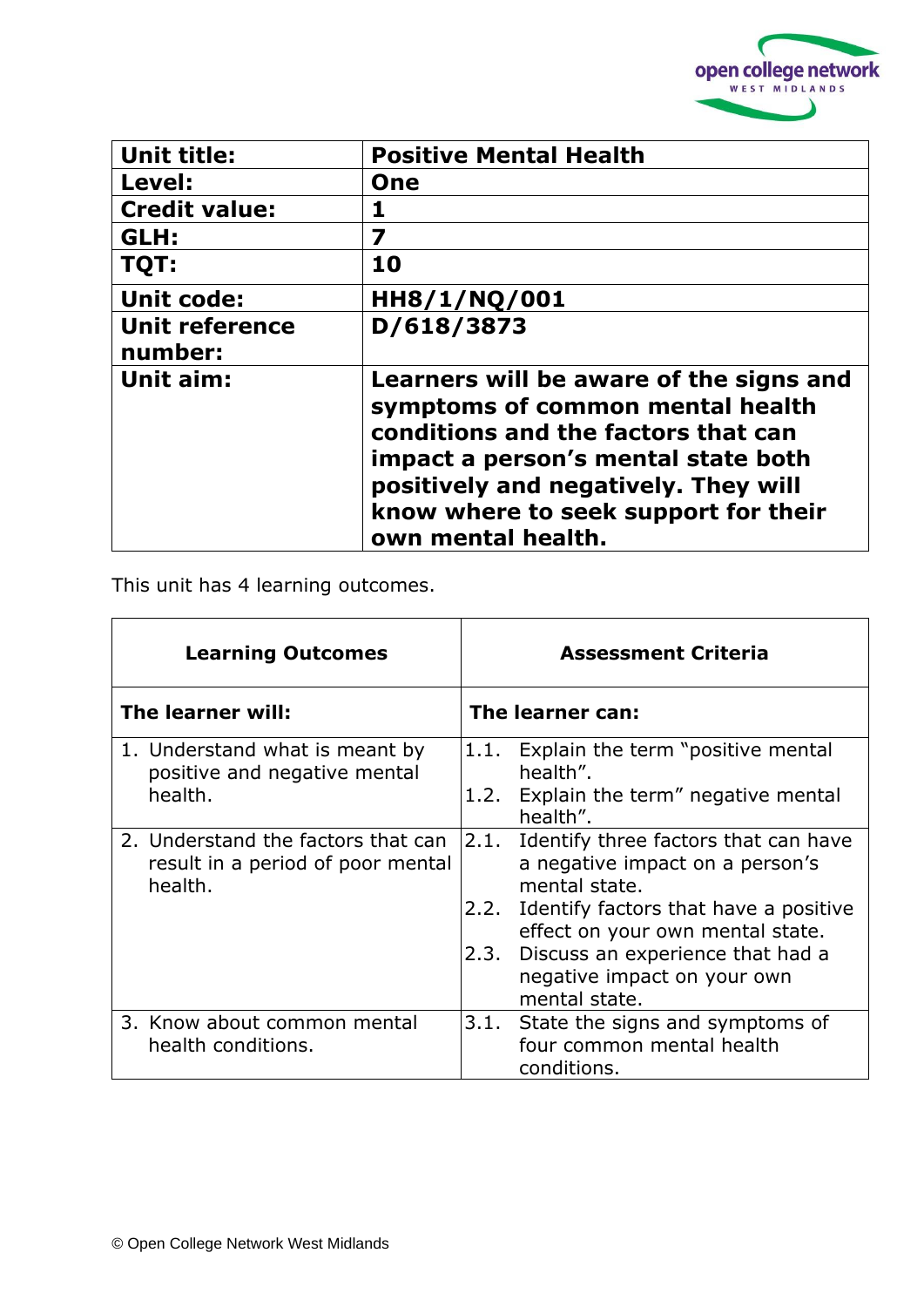

| <b>Unit title:</b>               | <b>Positive Mental Health</b>                                                                                                                                                                                                                                   |
|----------------------------------|-----------------------------------------------------------------------------------------------------------------------------------------------------------------------------------------------------------------------------------------------------------------|
| Level:                           | <b>One</b>                                                                                                                                                                                                                                                      |
| <b>Credit value:</b>             |                                                                                                                                                                                                                                                                 |
| GLH:                             | 7                                                                                                                                                                                                                                                               |
| TQT:                             | 10                                                                                                                                                                                                                                                              |
| <b>Unit code:</b>                | HH8/1/NQ/001                                                                                                                                                                                                                                                    |
| <b>Unit reference</b><br>number: | D/618/3873                                                                                                                                                                                                                                                      |
| Unit aim:                        | Learners will be aware of the signs and<br>symptoms of common mental health<br>conditions and the factors that can<br>impact a person's mental state both<br>positively and negatively. They will<br>know where to seek support for their<br>own mental health. |

This unit has 4 learning outcomes.

| <b>Learning Outcomes</b> |                                                                                    |              | <b>Assessment Criteria</b>                                                                                                                                                                                                                                     |
|--------------------------|------------------------------------------------------------------------------------|--------------|----------------------------------------------------------------------------------------------------------------------------------------------------------------------------------------------------------------------------------------------------------------|
| The learner will:        |                                                                                    |              | The learner can:                                                                                                                                                                                                                                               |
|                          | 1. Understand what is meant by<br>positive and negative mental<br>health.          | 1.1.<br>1.2. | Explain the term "positive mental<br>health".<br>Explain the term" negative mental<br>health".                                                                                                                                                                 |
|                          | 2. Understand the factors that can<br>result in a period of poor mental<br>health. | 2.2.<br>2.3. | 2.1. Identify three factors that can have<br>a negative impact on a person's<br>mental state.<br>Identify factors that have a positive<br>effect on your own mental state.<br>Discuss an experience that had a<br>negative impact on your own<br>mental state. |
|                          | 3. Know about common mental<br>health conditions.                                  | 3.1.         | State the signs and symptoms of<br>four common mental health<br>conditions.                                                                                                                                                                                    |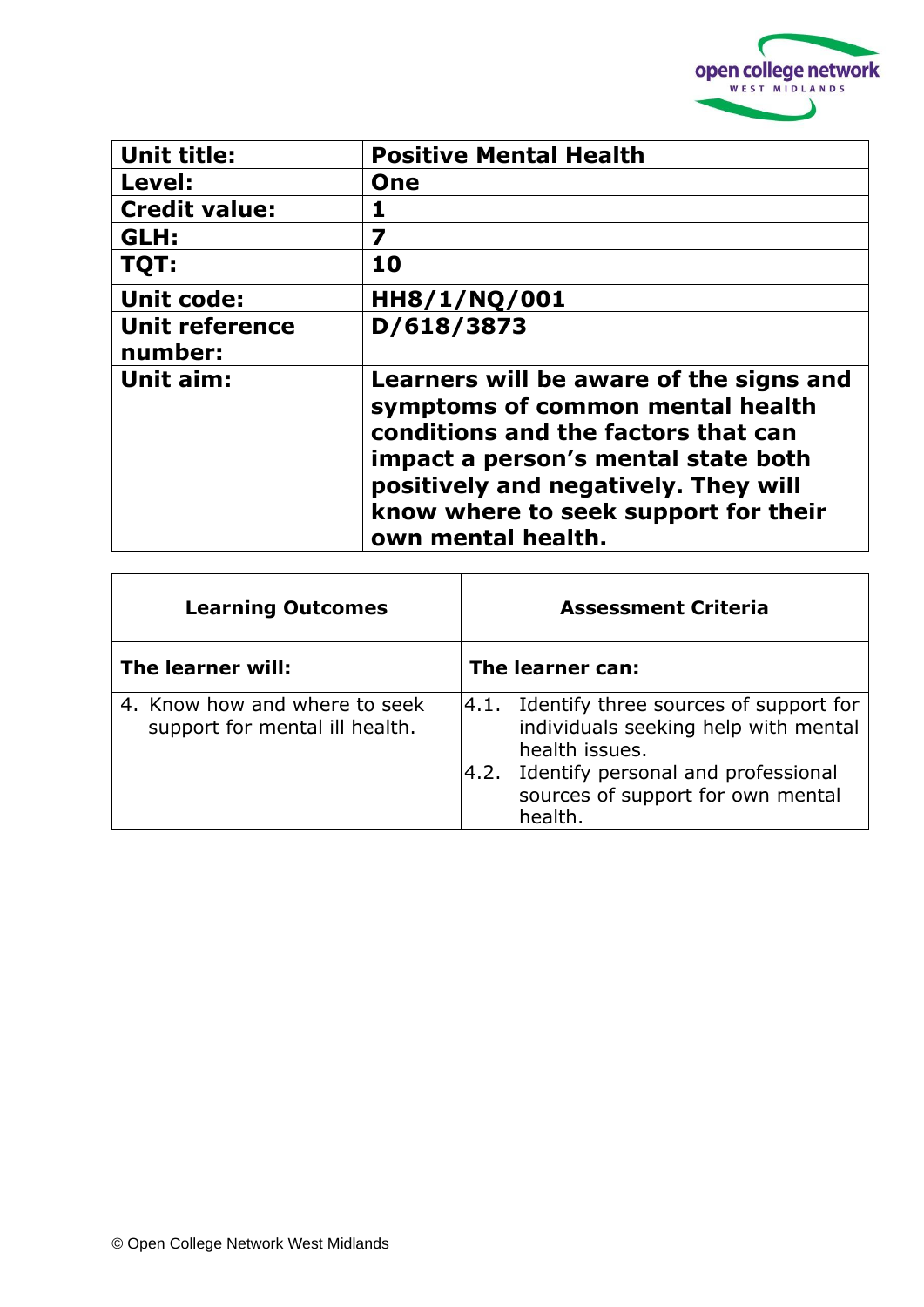

| <b>Unit title:</b>               | <b>Positive Mental Health</b>                                                                                                                                                                                                                                   |  |
|----------------------------------|-----------------------------------------------------------------------------------------------------------------------------------------------------------------------------------------------------------------------------------------------------------------|--|
| Level:                           | One                                                                                                                                                                                                                                                             |  |
| <b>Credit value:</b>             | 1                                                                                                                                                                                                                                                               |  |
| GLH:                             | 7                                                                                                                                                                                                                                                               |  |
| TQT:                             | 10                                                                                                                                                                                                                                                              |  |
| <b>Unit code:</b>                | HH8/1/NQ/001                                                                                                                                                                                                                                                    |  |
| <b>Unit reference</b><br>number: | D/618/3873                                                                                                                                                                                                                                                      |  |
| Unit aim:                        | Learners will be aware of the signs and<br>symptoms of common mental health<br>conditions and the factors that can<br>impact a person's mental state both<br>positively and negatively. They will<br>know where to seek support for their<br>own mental health. |  |

| <b>Learning Outcomes</b>                                        | <b>Assessment Criteria</b>                                                                                                                                                                         |
|-----------------------------------------------------------------|----------------------------------------------------------------------------------------------------------------------------------------------------------------------------------------------------|
| The learner will:                                               | The learner can:                                                                                                                                                                                   |
| 4. Know how and where to seek<br>support for mental ill health. | $ 4.1.$ Identify three sources of support for<br>individuals seeking help with mental<br>health issues.<br>4.2. Identify personal and professional<br>sources of support for own mental<br>health. |